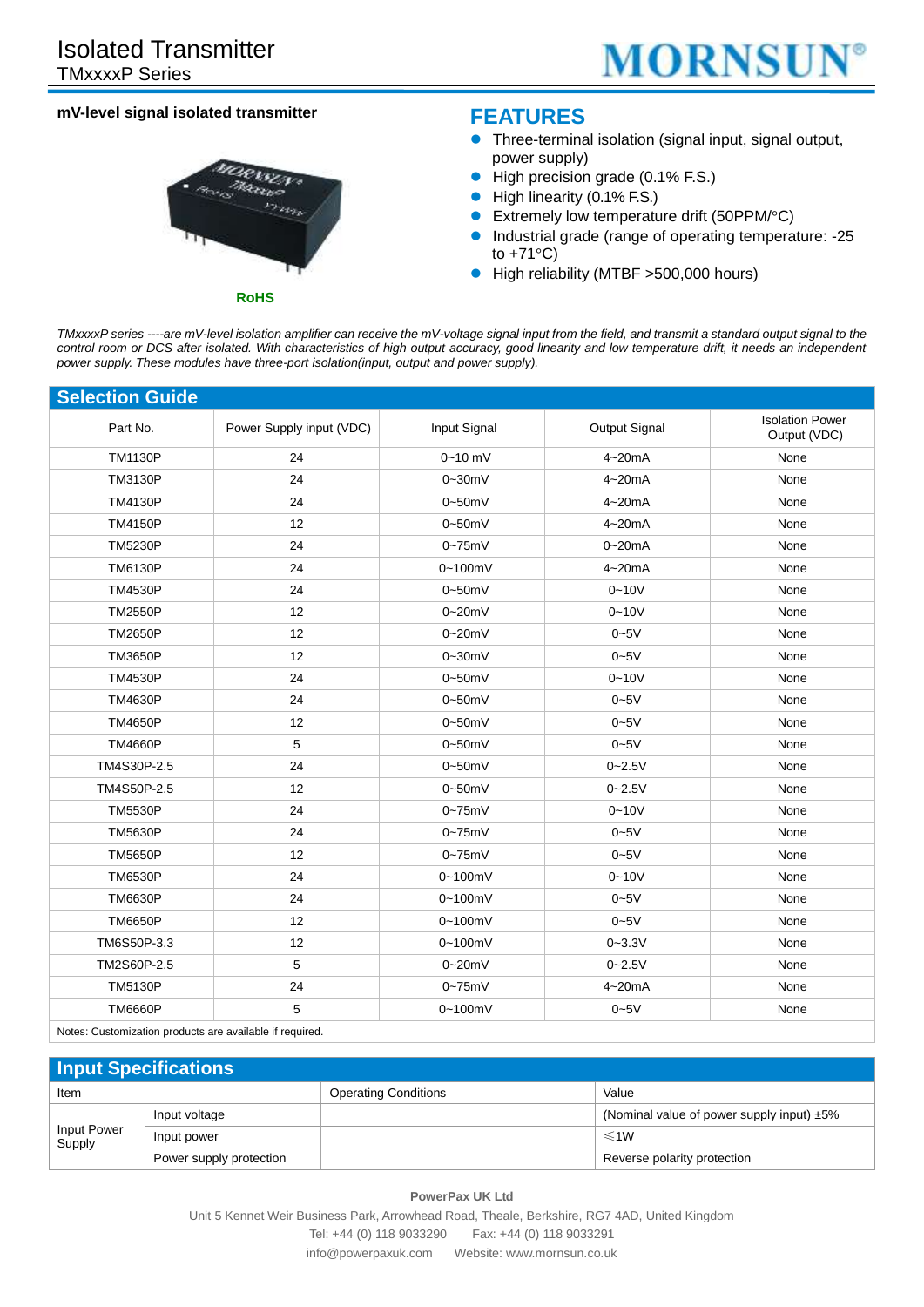

### **mV-level signal isolated transmitter**



## **FEATURES**

- Three-terminal isolation (signal input, signal output, power supply)
- High precision grade (0.1% F.S.)
- High linearity (0.1% F.S.)
- Extremely low temperature drift (50PPM/°C)
- Industrial grade (range of operating temperature: -25 to +71°C)
- High reliability (MTBF >500,000 hours)

*TMxxxxP series ----are mV-level isolation amplifier can receive the mV-voltage signal input from the field, and transmit a standard output signal to the*  control room or DCS after isolated. With characteristics of high output accuracy, good linearity and low temperature drift, it needs an independent *power supply. These modules have three-port isolation(input, output and power supply).*

| <b>Selection Guide</b> |                          |                 |               |                                        |
|------------------------|--------------------------|-----------------|---------------|----------------------------------------|
| Part No.               | Power Supply input (VDC) | Input Signal    | Output Signal | <b>Isolation Power</b><br>Output (VDC) |
| <b>TM1130P</b>         | 24                       | $0 - 10$ mV     | $4 - 20mA$    | None                                   |
| <b>TM3130P</b>         | 24                       | $0 - 30$ m $V$  | $4 - 20mA$    | None                                   |
| <b>TM4130P</b>         | 24                       | $0-50mV$        | $4 - 20mA$    | None                                   |
| <b>TM4150P</b>         | 12                       | 0~50mV          | $4 - 20mA$    | None                                   |
| <b>TM5230P</b>         | 24                       | $0 - 75$ mV     | $0 - 20mA$    | None                                   |
| <b>TM6130P</b>         | 24                       | $0 - 100$ m $V$ | $4 - 20mA$    | None                                   |
| <b>TM4530P</b>         | 24                       | 0~50mV          | $0 - 10V$     | None                                   |
| <b>TM2550P</b>         | 12                       | $0 - 20$ mV     | $0 - 10V$     | None                                   |
| <b>TM2650P</b>         | 12                       | $0 - 20$ mV     | $0 - 5V$      | None                                   |
| <b>TM3650P</b>         | 12                       | $0 - 30$ mV     | $0 - 5V$      | None                                   |
| <b>TM4530P</b>         | 24                       | $0-50mV$        | $0 - 10V$     | None                                   |
| <b>TM4630P</b>         | 24                       | 0~50mV          | $0 - 5V$      | None                                   |
| <b>TM4650P</b>         | 12                       | 0~50mV          | $0 - 5V$      | None                                   |
| <b>TM4660P</b>         | 5                        | 0~50mV          | $0 - 5V$      | None                                   |
| TM4S30P-2.5            | 24                       | 0~50mV          | $0 - 2.5V$    | None                                   |
| TM4S50P-2.5            | 12                       | 0~50mV          | $0 - 2.5V$    | None                                   |
| <b>TM5530P</b>         | 24                       | $0 - 75$ mV     | $0 - 10V$     | None                                   |
| <b>TM5630P</b>         | 24                       | $0 - 75$ m $V$  | $0 - 5V$      | None                                   |
| <b>TM5650P</b>         | 12                       | $0 - 75$ mV     | $0 - 5V$      | None                                   |
| <b>TM6530P</b>         | 24                       | 0~100mV         | $0 - 10V$     | None                                   |
| <b>TM6630P</b>         | 24                       | $0 - 100$ m $V$ | $0 - 5V$      | None                                   |
| <b>TM6650P</b>         | 12                       | $0 - 100$ m $V$ | $0 - 5V$      | None                                   |
| TM6S50P-3.3            | 12                       | 0~100mV         | $0 - 3.3V$    | None                                   |
| TM2S60P-2.5            | 5                        | $0 - 20$ mV     | $0 - 2.5V$    | None                                   |
| <b>TM5130P</b>         | 24                       | $0 - 75$ m $V$  | $4 - 20mA$    | None                                   |
| <b>TM6660P</b>         | 5                        | 0~100mV         | $0 - 5V$      | None                                   |

Notes: Customization products are available if required.

### **Input Specifications**

| Item                  |                         | <b>Operating Conditions</b> | Value                                           |
|-----------------------|-------------------------|-----------------------------|-------------------------------------------------|
|                       | Input voltage           |                             | (Nominal value of power supply input) $\pm 5\%$ |
| Input Power<br>Supply | Input power             |                             | $\leq 1W$                                       |
|                       | Power supply protection |                             | Reverse polarity protection                     |

**PowerPax UK Ltd**

Unit 5 Kennet Weir Business Park, Arrowhead Road, Theale, Berkshire, RG7 4AD, United Kingdom Tel: +44 (0) 118 9033290 Fax: +44 (0) 118 9033291 info@powerpaxuk.com Website: www.mornsun.co.uk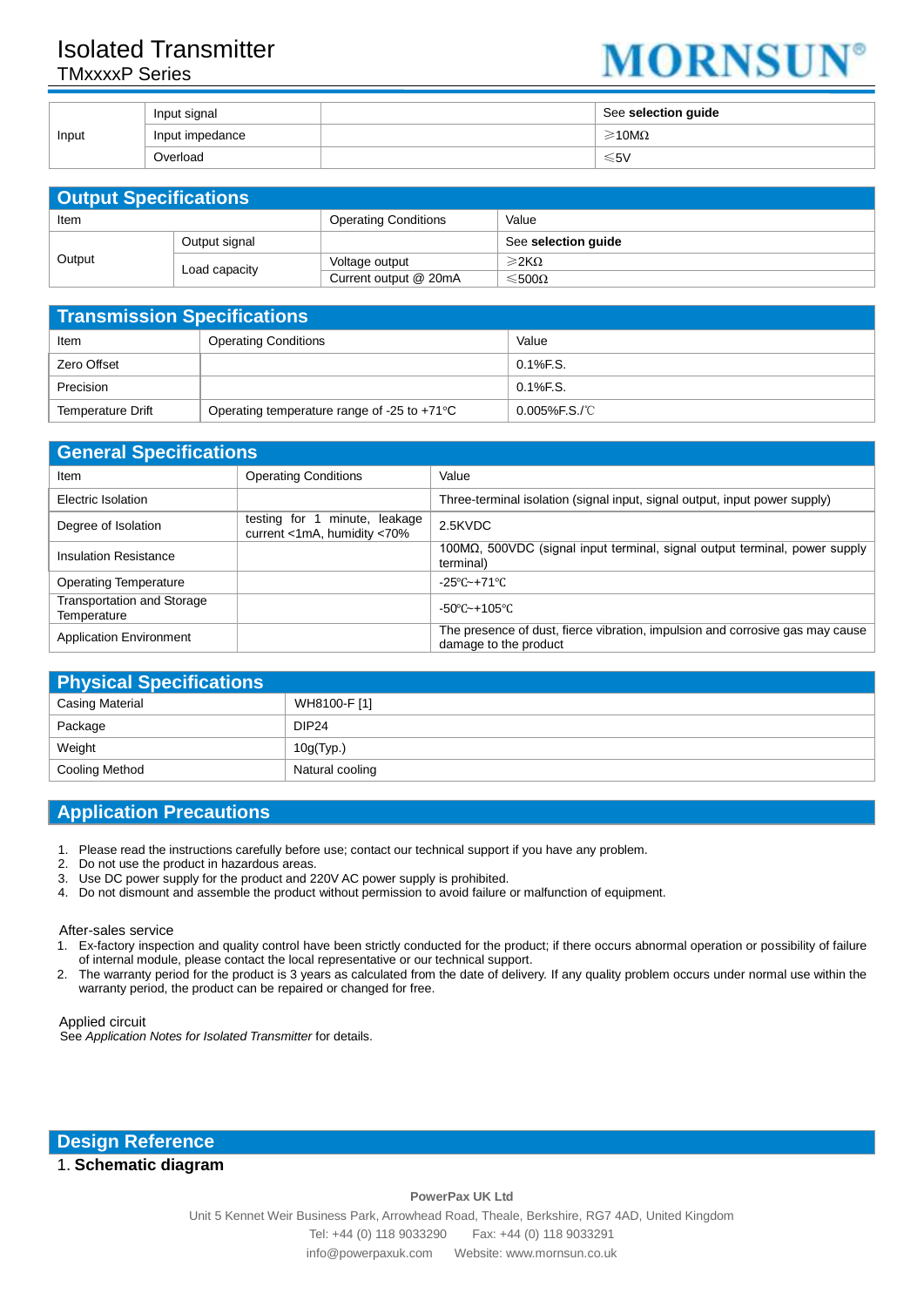# Isolated Transmitter TMxxxxP Series



|       | Input signal    | See selection guide      |
|-------|-----------------|--------------------------|
| Input | Input impedance | $\geq 10 \text{M}\Omega$ |
|       | Overload        | ≤5V                      |

| <b>Output Specifications</b> |               |                             |                          |
|------------------------------|---------------|-----------------------------|--------------------------|
| Item                         |               | <b>Operating Conditions</b> | Value                    |
| Output                       | Output signal |                             | See selection guide      |
|                              | Load capacity | Voltage output              | $\geqslant$ 2KQ          |
|                              |               | Current output @ 20mA       | $\leqslant$ 500 $\Omega$ |

| <b>Transmission Specifications</b> |                                                       |                   |
|------------------------------------|-------------------------------------------------------|-------------------|
| Item                               | <b>Operating Conditions</b>                           | Value             |
| Zero Offset                        |                                                       | $0.1\%$ F.S.      |
| Precision                          |                                                       | $0.1\%$ F.S.      |
| Temperature Drift                  | Operating temperature range of -25 to +71 $\degree$ C | $0.005\%$ F.S./°C |

| <b>General Specifications</b>             |                                                              |                                                                                                        |
|-------------------------------------------|--------------------------------------------------------------|--------------------------------------------------------------------------------------------------------|
| Item                                      | <b>Operating Conditions</b>                                  | Value                                                                                                  |
| Electric Isolation                        |                                                              | Three-terminal isolation (signal input, signal output, input power supply)                             |
| Degree of Isolation                       | testing for 1 minute, leakage<br>current <1mA, humidity <70% | 2.5KVDC                                                                                                |
| <b>Insulation Resistance</b>              |                                                              | $100\text{M}\Omega$ , 500VDC (signal input terminal, signal output terminal, power supply<br>terminal) |
| <b>Operating Temperature</b>              |                                                              | $-25^{\circ}$ C $-+71^{\circ}$ C                                                                       |
| Transportation and Storage<br>Temperature |                                                              | $-50^{\circ}$ C $-+105^{\circ}$ C                                                                      |
| <b>Application Environment</b>            |                                                              | The presence of dust, fierce vibration, impulsion and corrosive gas may cause<br>damage to the product |

| <b>Physical Specifications</b> |                   |  |
|--------------------------------|-------------------|--|
| Casing Material                | WH8100-F [1]      |  |
| Package                        | DIP <sub>24</sub> |  |
| Weight                         | 10g(Typ.)         |  |
| Cooling Method                 | Natural cooling   |  |

### **Application Precautions**

- 1. Please read the instructions carefully before use; contact our technical support if you have any problem.
- 2. Do not use the product in hazardous areas.<br>3. Use DC power supply for the product and 2
- Use DC power supply for the product and 220V AC power supply is prohibited.
- 4. Do not dismount and assemble the product without permission to avoid failure or malfunction of equipment.

#### After-sales service

- 1. Ex-factory inspection and quality control have been strictly conducted for the product; if there occurs abnormal operation or possibility of failure of internal module, please contact the local representative or our technical support.
- 2. The warranty period for the product is 3 years as calculated from the date of delivery. If any quality problem occurs under normal use within the warranty period, the product can be repaired or changed for free.

Applied circuit

See *Application Notes for Isolated Transmitter* for details.

**Design Reference**

#### 1. **Schematic diagram**

**PowerPax UK Ltd** Unit 5 Kennet Weir Business Park, Arrowhead Road, Theale, Berkshire, RG7 4AD, United Kingdom Tel: +44 (0) 118 9033290 Fax: +44 (0) 118 9033291 info@powerpaxuk.com Website: www.mornsun.co.uk